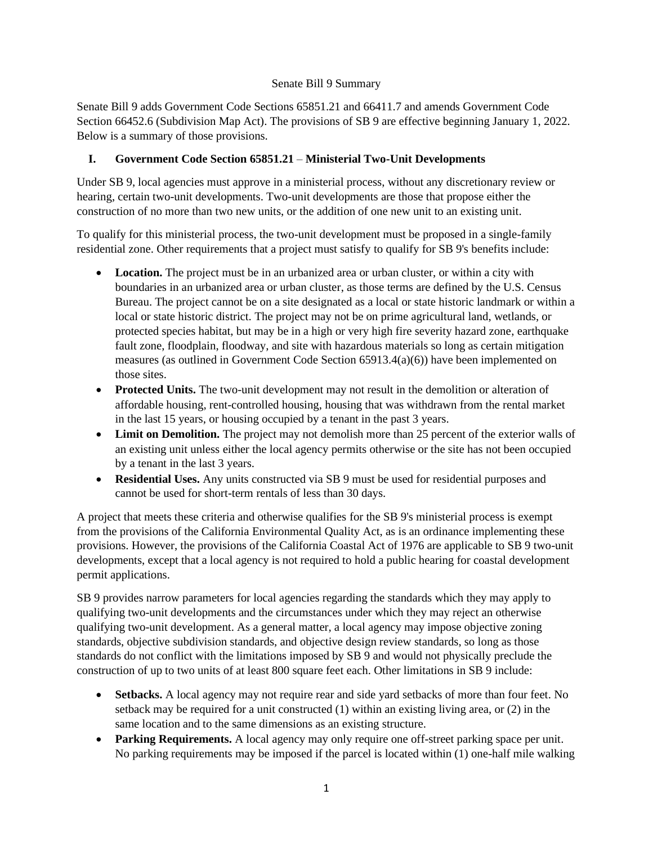## Senate Bill 9 Summary

Senate Bill 9 adds Government Code Sections 65851.21 and 66411.7 and amends Government Code Section 66452.6 (Subdivision Map Act). The provisions of SB 9 are effective beginning January 1, 2022. Below is a summary of those provisions.

# **I. Government Code Section 65851.21** – **Ministerial Two-Unit Developments**

Under SB 9, local agencies must approve in a ministerial process, without any discretionary review or hearing, certain two-unit developments. Two-unit developments are those that propose either the construction of no more than two new units, or the addition of one new unit to an existing unit.

To qualify for this ministerial process, the two-unit development must be proposed in a single-family residential zone. Other requirements that a project must satisfy to qualify for SB 9's benefits include:

- **Location.** The project must be in an urbanized area or urban cluster, or within a city with boundaries in an urbanized area or urban cluster, as those terms are defined by the U.S. Census Bureau. The project cannot be on a site designated as a local or state historic landmark or within a local or state historic district. The project may not be on prime agricultural land, wetlands, or protected species habitat, but may be in a high or very high fire severity hazard zone, earthquake fault zone, floodplain, floodway, and site with hazardous materials so long as certain mitigation measures (as outlined in Government Code Section 65913.4(a)(6)) have been implemented on those sites.
- **Protected Units.** The two-unit development may not result in the demolition or alteration of affordable housing, rent-controlled housing, housing that was withdrawn from the rental market in the last 15 years, or housing occupied by a tenant in the past 3 years.
- Limit on Demolition. The project may not demolish more than 25 percent of the exterior walls of an existing unit unless either the local agency permits otherwise or the site has not been occupied by a tenant in the last 3 years.
- **Residential Uses.** Any units constructed via SB 9 must be used for residential purposes and cannot be used for short-term rentals of less than 30 days.

A project that meets these criteria and otherwise qualifies for the SB 9's ministerial process is exempt from the provisions of the California Environmental Quality Act, as is an ordinance implementing these provisions. However, the provisions of the California Coastal Act of 1976 are applicable to SB 9 two-unit developments, except that a local agency is not required to hold a public hearing for coastal development permit applications.

SB 9 provides narrow parameters for local agencies regarding the standards which they may apply to qualifying two-unit developments and the circumstances under which they may reject an otherwise qualifying two-unit development. As a general matter, a local agency may impose objective zoning standards, objective subdivision standards, and objective design review standards, so long as those standards do not conflict with the limitations imposed by SB 9 and would not physically preclude the construction of up to two units of at least 800 square feet each. Other limitations in SB 9 include:

- **Setbacks.** A local agency may not require rear and side yard setbacks of more than four feet. No setback may be required for a unit constructed (1) within an existing living area, or (2) in the same location and to the same dimensions as an existing structure.
- **Parking Requirements.** A local agency may only require one off-street parking space per unit. No parking requirements may be imposed if the parcel is located within (1) one-half mile walking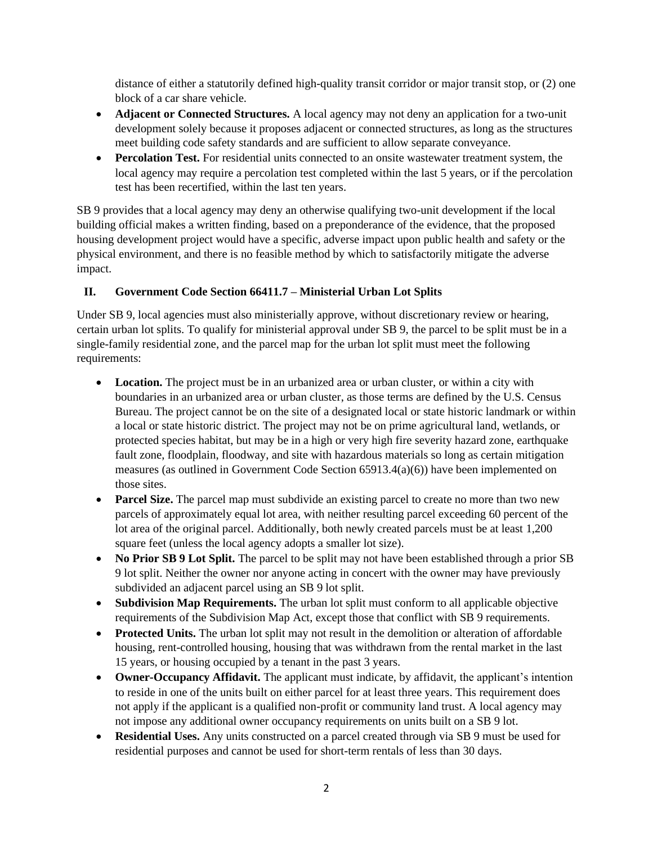distance of either a statutorily defined high-quality transit corridor or major transit stop, or (2) one block of a car share vehicle.

- **Adjacent or Connected Structures.** A local agency may not deny an application for a two-unit development solely because it proposes adjacent or connected structures, as long as the structures meet building code safety standards and are sufficient to allow separate conveyance.
- **Percolation Test.** For residential units connected to an onsite wastewater treatment system, the local agency may require a percolation test completed within the last 5 years, or if the percolation test has been recertified, within the last ten years.

SB 9 provides that a local agency may deny an otherwise qualifying two-unit development if the local building official makes a written finding, based on a preponderance of the evidence, that the proposed housing development project would have a specific, adverse impact upon public health and safety or the physical environment, and there is no feasible method by which to satisfactorily mitigate the adverse impact.

# **II. Government Code Section 66411.7 – Ministerial Urban Lot Splits**

Under SB 9, local agencies must also ministerially approve, without discretionary review or hearing, certain urban lot splits. To qualify for ministerial approval under SB 9, the parcel to be split must be in a single-family residential zone, and the parcel map for the urban lot split must meet the following requirements:

- **Location.** The project must be in an urbanized area or urban cluster, or within a city with boundaries in an urbanized area or urban cluster, as those terms are defined by the U.S. Census Bureau. The project cannot be on the site of a designated local or state historic landmark or within a local or state historic district. The project may not be on prime agricultural land, wetlands, or protected species habitat, but may be in a high or very high fire severity hazard zone, earthquake fault zone, floodplain, floodway, and site with hazardous materials so long as certain mitigation measures (as outlined in Government Code Section 65913.4(a)(6)) have been implemented on those sites.
- **Parcel Size.** The parcel map must subdivide an existing parcel to create no more than two new parcels of approximately equal lot area, with neither resulting parcel exceeding 60 percent of the lot area of the original parcel. Additionally, both newly created parcels must be at least 1,200 square feet (unless the local agency adopts a smaller lot size).
- **No Prior SB 9 Lot Split.** The parcel to be split may not have been established through a prior SB 9 lot split. Neither the owner nor anyone acting in concert with the owner may have previously subdivided an adjacent parcel using an SB 9 lot split.
- **Subdivision Map Requirements.** The urban lot split must conform to all applicable objective requirements of the Subdivision Map Act, except those that conflict with SB 9 requirements.
- **Protected Units.** The urban lot split may not result in the demolition or alteration of affordable housing, rent-controlled housing, housing that was withdrawn from the rental market in the last 15 years, or housing occupied by a tenant in the past 3 years.
- **Owner-Occupancy Affidavit.** The applicant must indicate, by affidavit, the applicant's intention to reside in one of the units built on either parcel for at least three years. This requirement does not apply if the applicant is a qualified non-profit or community land trust. A local agency may not impose any additional owner occupancy requirements on units built on a SB 9 lot.
- **Residential Uses.** Any units constructed on a parcel created through via SB 9 must be used for residential purposes and cannot be used for short-term rentals of less than 30 days.